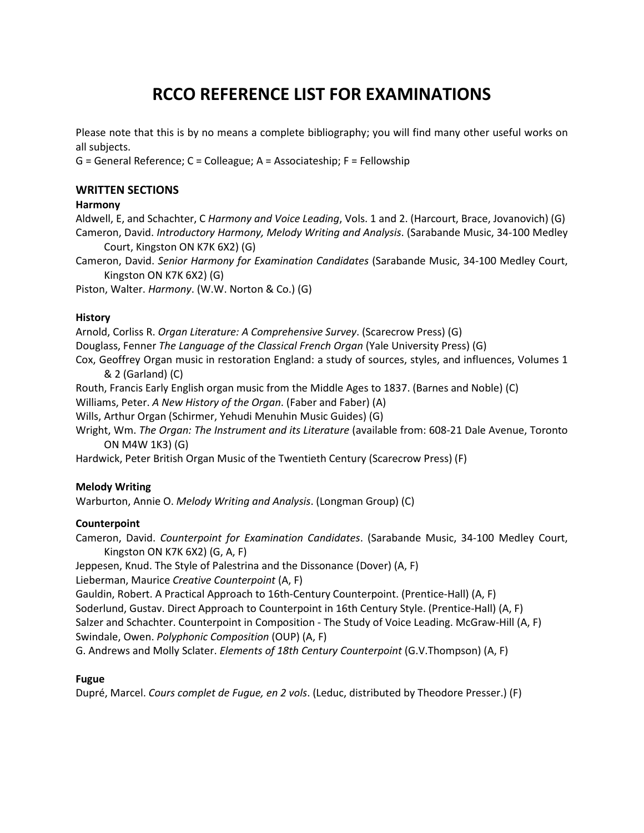# **RCCO REFERENCE LIST FOR EXAMINATIONS**

Please note that this is by no means a complete bibliography; you will find many other useful works on all subjects.

G = General Reference; C = Colleague; A = Associateship; F = Fellowship

# **WRITTEN SECTIONS**

## **Harmony**

Aldwell, E, and Schachter, C *Harmony and Voice Leading*, Vols. 1 and 2. (Harcourt, Brace, Jovanovich) (G) Cameron, David. *Introductory Harmony, Melody Writing and Analysis*. (Sarabande Music, 34-100 Medley Court, Kingston ON K7K 6X2) (G)

Cameron, David. *Senior Harmony for Examination Candidates* (Sarabande Music, 34-100 Medley Court, Kingston ON K7K 6X2) (G)

Piston, Walter. *Harmony*. (W.W. Norton & Co.) (G)

# **History**

Arnold, Corliss R. *Organ Literature: A Comprehensive Survey*. (Scarecrow Press) (G) Douglass, Fenner *The Language of the Classical French Organ* (Yale University Press) (G) Cox, Geoffrey Organ music in restoration England: a study of sources, styles, and influences, Volumes 1 & 2 (Garland) (C)

Routh, Francis Early English organ music from the Middle Ages to 1837. (Barnes and Noble) (C)

Williams, Peter. *A New History of the Organ*. (Faber and Faber) (A)

Wills, Arthur Organ (Schirmer, Yehudi Menuhin Music Guides) (G)

Wright, Wm. *The Organ: The Instrument and its Literature* (available from: 608-21 Dale Avenue, Toronto ON M4W 1K3) (G)

Hardwick, Peter British Organ Music of the Twentieth Century (Scarecrow Press) (F)

## **Melody Writing**

Warburton, Annie O. *Melody Writing and Analysis*. (Longman Group) (C)

## **Counterpoint**

Cameron, David. *Counterpoint for Examination Candidates*. (Sarabande Music, 34-100 Medley Court, Kingston ON K7K 6X2) (G, A, F)

Jeppesen, Knud. The Style of Palestrina and the Dissonance (Dover) (A, F)

Lieberman, Maurice *Creative Counterpoint* (A, F)

Gauldin, Robert. A Practical Approach to 16th-Century Counterpoint. (Prentice-Hall) (A, F)

Soderlund, Gustav. Direct Approach to Counterpoint in 16th Century Style. (Prentice-Hall) (A, F)

Salzer and Schachter. Counterpoint in Composition - The Study of Voice Leading. McGraw-Hill (A, F) Swindale, Owen. *Polyphonic Composition* (OUP) (A, F)

G. Andrews and Molly Sclater. *Elements of 18th Century Counterpoint* (G.V.Thompson) (A, F)

## **Fugue**

Dupré, Marcel. *Cours complet de Fugue, en 2 vols*. (Leduc, distributed by Theodore Presser.) (F)